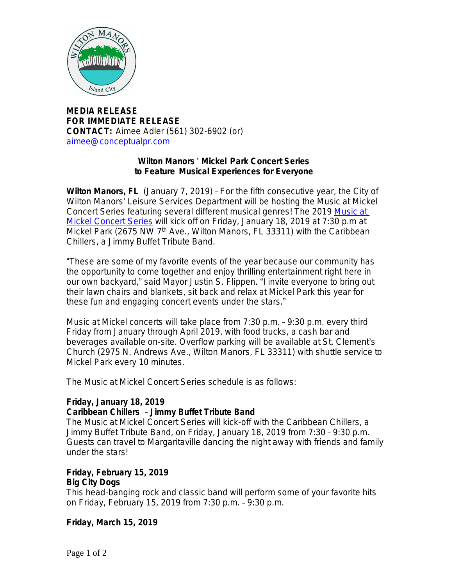

**MEDIA RELEASE FOR IMMEDIATE RELEASE CONTACT:** Aimee Adler (561) 302-6902 (or) [aimee@conceptualpr.com](mailto:aimee@conceptualpr.com)

#### **[Wilton Manors](mailto:aimee@conceptualpr.com)** ' **[Mickel Park Concert Series](mailto:aimee@conceptualpr.com)  [to Feature Musical Experiences for Everyone](mailto:aimee@conceptualpr.com)**

**[Wilton Manors, FL](mailto:aimee@conceptualpr.com)** [\(January 7, 2019\)](mailto:aimee@conceptualpr.com) [–](mailto:aimee@conceptualpr.com) [For the fifth consecutive year, the City of](mailto:aimee@conceptualpr.com)  Wilton Manors' [Leisure Services Department will be hosting the Music at Mickel](mailto:aimee@conceptualpr.com)  [Concert Series featuring several different musical genres! The 2019](mailto:aimee@conceptualpr.com) [Music at](http://bit.ly/WMMickelMusic19)  [Mickel Concert Series](http://bit.ly/WMMickelMusic19) will kick off on Friday, January 18, 2019 at 7:30 p.m at Mickel Park (2675 NW 7<sup>th</sup> Ave., Wilton Manors, FL 33311) with the Caribbean Chillers, a Jimmy Buffet Tribute Band.

"These are some of my favorite events of the year because our community has the opportunity to come together and enjoy thrilling entertainment right here in our own backyard," said Mayor Justin S. Flippen. "I invite everyone to bring out their lawn chairs and blankets, sit back and relax at Mickel Park this year for these fun and engaging concert events under the stars."

Music at Mickel concerts will take place from 7:30 p.m. – 9:30 p.m. every third Friday from January through April 2019, with food trucks, a cash bar and beverages available on-site. Overflow parking will be available at St. Clement's Church (2975 N. Andrews Ave., Wilton Manors, FL 33311) with shuttle service to Mickel Park every 10 minutes.

The Music at Mickel Concert Series schedule is as follows:

#### **Friday, January 18, 2019**

#### **Caribbean Chillers** – **Jimmy Buffet Tribute Band**

The Music at Mickel Concert Series will kick-off with the Caribbean Chillers, a Jimmy Buffet Tribute Band, on Friday, January 18, 2019 from 7:30 – 9:30 p.m. Guests can travel to Margaritaville dancing the night away with friends and family under the stars!

#### **Friday, February 15, 2019 Big City Dogs**

This head-banging rock and classic band will perform some of your favorite hits on Friday, February 15, 2019 from 7:30 p.m. – 9:30 p.m.

#### **Friday, March 15, 2019**